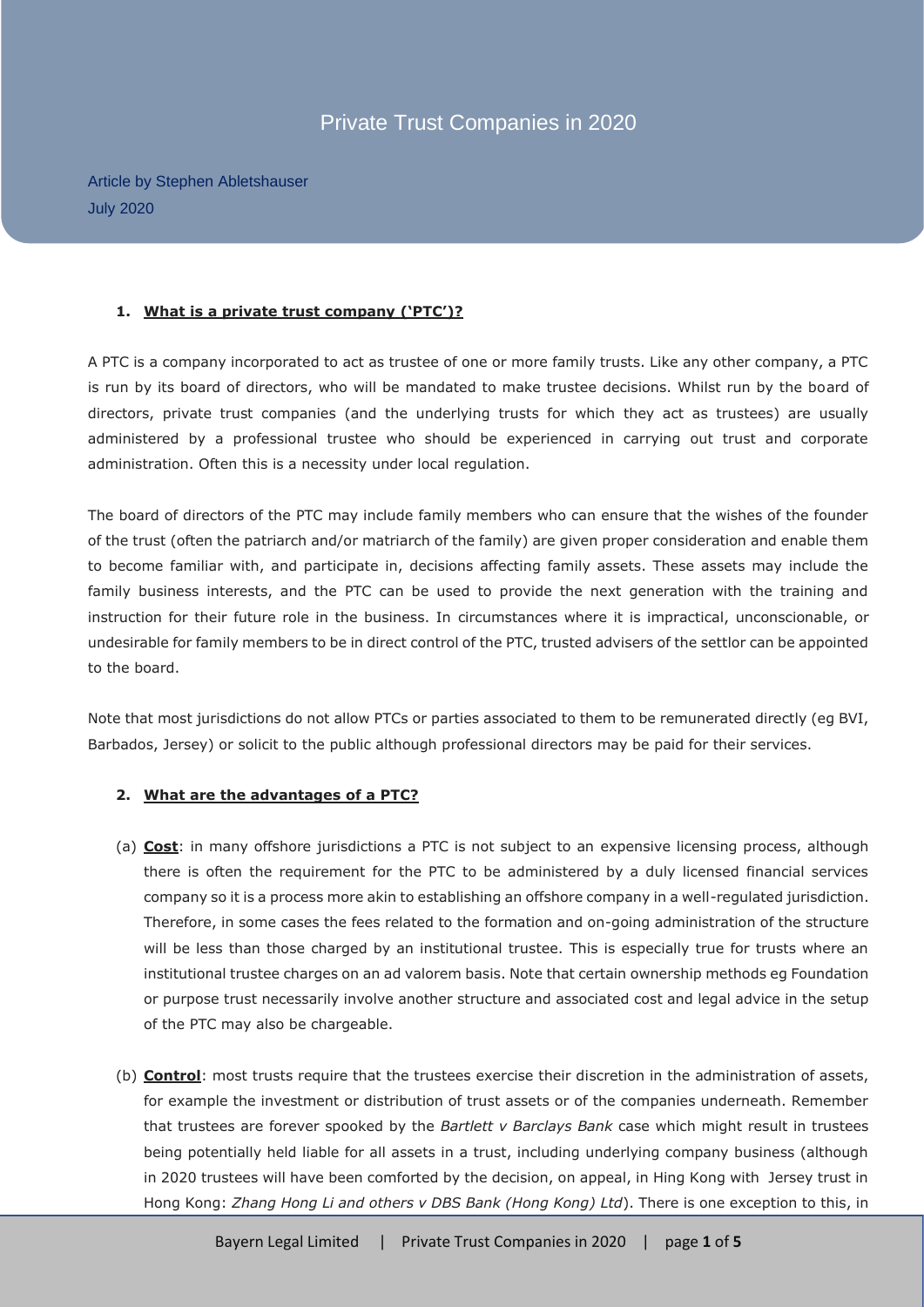# Private Trust Companies in 2020

Article by Stephen Abletshauser July 2020

## **1. What is a private trust company ('PTC')?**

A PTC is a company incorporated to act as trustee of one or more family trusts. Like any other company, a PTC is run by its board of directors, who will be mandated to make trustee decisions. Whilst run by the board of directors, private trust companies (and the underlying trusts for which they act as trustees) are usually administered by a professional trustee who should be experienced in carrying out trust and corporate administration. Often this is a necessity under local regulation.

The board of directors of the PTC may include family members who can ensure that the wishes of the founder of the trust (often the patriarch and/or matriarch of the family) are given proper consideration and enable them to become familiar with, and participate in, decisions affecting family assets. These assets may include the family business interests, and the PTC can be used to provide the next generation with the training and instruction for their future role in the business. In circumstances where it is impractical, unconscionable, or undesirable for family members to be in direct control of the PTC, trusted advisers of the settlor can be appointed to the board.

Note that most jurisdictions do not allow PTCs or parties associated to them to be remunerated directly (eg BVI, Barbados, Jersey) or solicit to the public although professional directors may be paid for their services.

## **2. What are the advantages of a PTC?**

- (a) **Cost**: in many offshore jurisdictions a PTC is not subject to an expensive licensing process, although there is often the requirement for the PTC to be administered by a duly licensed financial services company so it is a process more akin to establishing an offshore company in a well-regulated jurisdiction. Therefore, in some cases the fees related to the formation and on-going administration of the structure will be less than those charged by an institutional trustee. This is especially true for trusts where an institutional trustee charges on an ad valorem basis. Note that certain ownership methods eg Foundation or purpose trust necessarily involve another structure and associated cost and legal advice in the setup of the PTC may also be chargeable.
- (b) **Control**: most trusts require that the trustees exercise their discretion in the administration of assets, for example the investment or distribution of trust assets or of the companies underneath. Remember that trustees are forever spooked by the *Bartlett v Barclays Bank* case which might result in trustees being potentially held liable for all assets in a trust, including underlying company business (although in 2020 trustees will have been comforted by the decision, on appeal, in Hing Kong with Jersey trust in Hong Kong: *Zhang Hong Li and others v DBS Bank (Hong Kong) Ltd*). There is one exception to this, in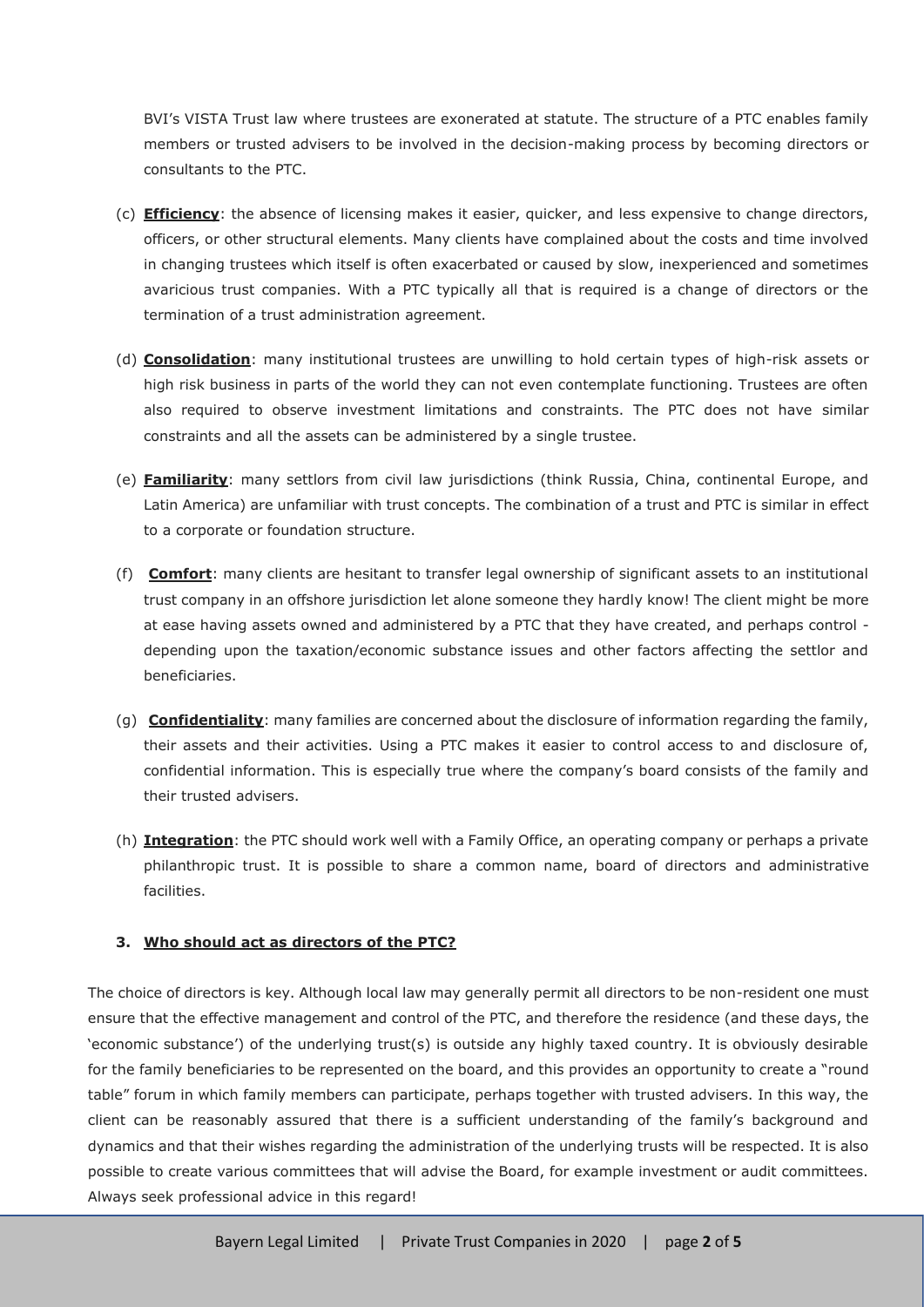BVI's VISTA Trust law where trustees are exonerated at statute. The structure of a PTC enables family members or trusted advisers to be involved in the decision-making process by becoming directors or consultants to the PTC.

- (c) **Efficiency**: the absence of licensing makes it easier, quicker, and less expensive to change directors, officers, or other structural elements. Many clients have complained about the costs and time involved in changing trustees which itself is often exacerbated or caused by slow, inexperienced and sometimes avaricious trust companies. With a PTC typically all that is required is a change of directors or the termination of a trust administration agreement.
- (d) **Consolidation**: many institutional trustees are unwilling to hold certain types of high-risk assets or high risk business in parts of the world they can not even contemplate functioning. Trustees are often also required to observe investment limitations and constraints. The PTC does not have similar constraints and all the assets can be administered by a single trustee.
- (e) **Familiarity**: many settlors from civil law jurisdictions (think Russia, China, continental Europe, and Latin America) are unfamiliar with trust concepts. The combination of a trust and PTC is similar in effect to a corporate or foundation structure.
- (f) **Comfort**: many clients are hesitant to transfer legal ownership of significant assets to an institutional trust company in an offshore jurisdiction let alone someone they hardly know! The client might be more at ease having assets owned and administered by a PTC that they have created, and perhaps control depending upon the taxation/economic substance issues and other factors affecting the settlor and beneficiaries.
- (g) **Confidentiality**: many families are concerned about the disclosure of information regarding the family, their assets and their activities. Using a PTC makes it easier to control access to and disclosure of, confidential information. This is especially true where the company's board consists of the family and their trusted advisers.
- (h) **Integration**: the PTC should work well with a Family Office, an operating company or perhaps a private philanthropic trust. It is possible to share a common name, board of directors and administrative facilities.

## **3. Who should act as directors of the PTC?**

The choice of directors is key. Although local law may generally permit all directors to be non-resident one must ensure that the effective management and control of the PTC, and therefore the residence (and these days, the 'economic substance') of the underlying trust(s) is outside any highly taxed country. It is obviously desirable for the family beneficiaries to be represented on the board, and this provides an opportunity to create a "round table" forum in which family members can participate, perhaps together with trusted advisers. In this way, the client can be reasonably assured that there is a sufficient understanding of the family's background and dynamics and that their wishes regarding the administration of the underlying trusts will be respected. It is also possible to create various committees that will advise the Board, for example investment or audit committees. Always seek professional advice in this regard!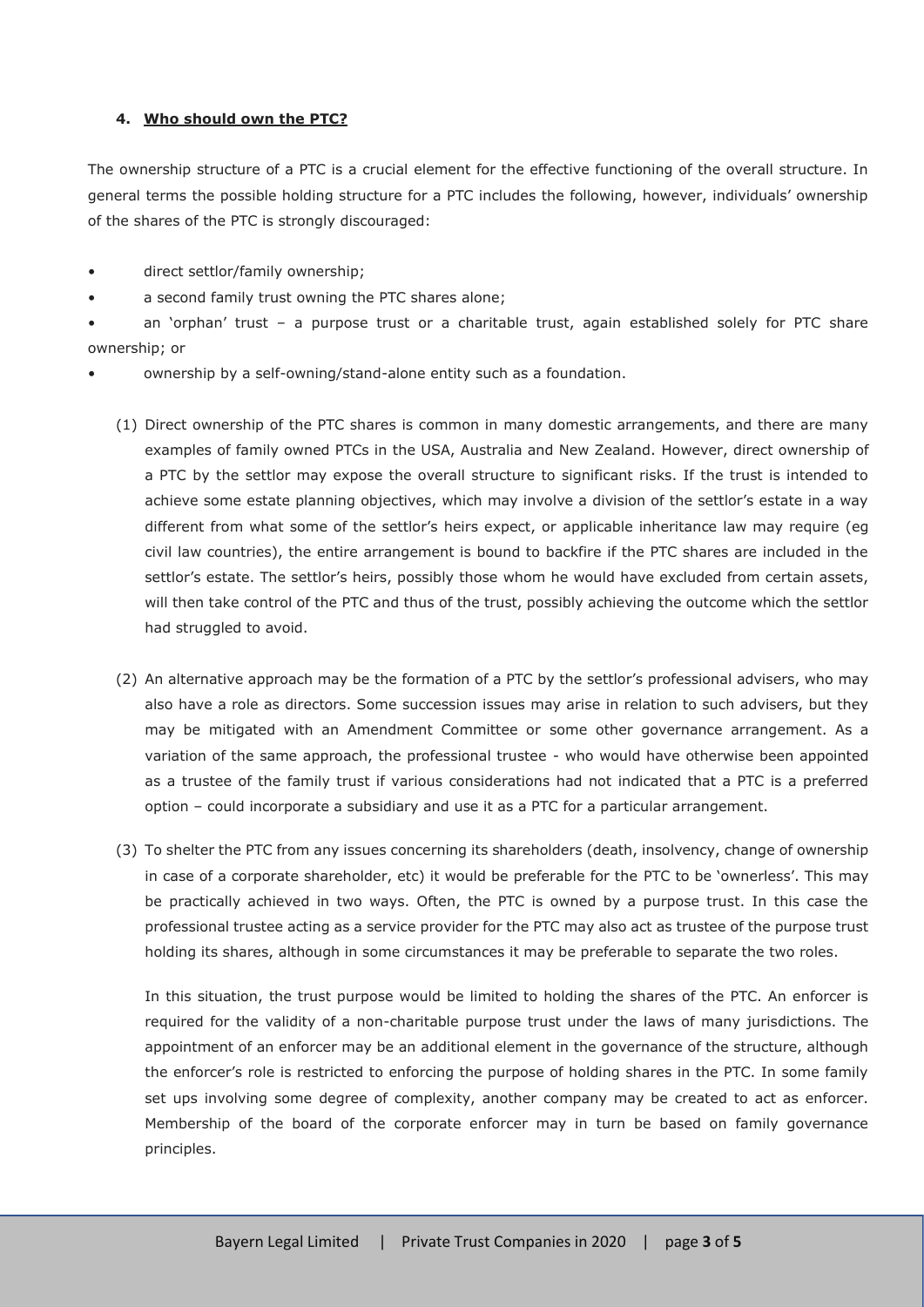## **4. Who should own the PTC?**

The ownership structure of a PTC is a crucial element for the effective functioning of the overall structure. In general terms the possible holding structure for a PTC includes the following, however, individuals' ownership of the shares of the PTC is strongly discouraged:

- direct settlor/family ownership;
- a second family trust owning the PTC shares alone;

• an 'orphan' trust – a purpose trust or a charitable trust, again established solely for PTC share ownership; or

- ownership by a self-owning/stand-alone entity such as a foundation.
	- (1) Direct ownership of the PTC shares is common in many domestic arrangements, and there are many examples of family owned PTCs in the USA, Australia and New Zealand. However, direct ownership of a PTC by the settlor may expose the overall structure to significant risks. If the trust is intended to achieve some estate planning objectives, which may involve a division of the settlor's estate in a way different from what some of the settlor's heirs expect, or applicable inheritance law may require (eg civil law countries), the entire arrangement is bound to backfire if the PTC shares are included in the settlor's estate. The settlor's heirs, possibly those whom he would have excluded from certain assets, will then take control of the PTC and thus of the trust, possibly achieving the outcome which the settlor had struggled to avoid.
	- (2) An alternative approach may be the formation of a PTC by the settlor's professional advisers, who may also have a role as directors. Some succession issues may arise in relation to such advisers, but they may be mitigated with an Amendment Committee or some other governance arrangement. As a variation of the same approach, the professional trustee - who would have otherwise been appointed as a trustee of the family trust if various considerations had not indicated that a PTC is a preferred option – could incorporate a subsidiary and use it as a PTC for a particular arrangement.
	- (3) To shelter the PTC from any issues concerning its shareholders (death, insolvency, change of ownership in case of a corporate shareholder, etc) it would be preferable for the PTC to be 'ownerless'. This may be practically achieved in two ways. Often, the PTC is owned by a purpose trust. In this case the professional trustee acting as a service provider for the PTC may also act as trustee of the purpose trust holding its shares, although in some circumstances it may be preferable to separate the two roles.

In this situation, the trust purpose would be limited to holding the shares of the PTC. An enforcer is required for the validity of a non-charitable purpose trust under the laws of many jurisdictions. The appointment of an enforcer may be an additional element in the governance of the structure, although the enforcer's role is restricted to enforcing the purpose of holding shares in the PTC. In some family set ups involving some degree of complexity, another company may be created to act as enforcer. Membership of the board of the corporate enforcer may in turn be based on family governance principles.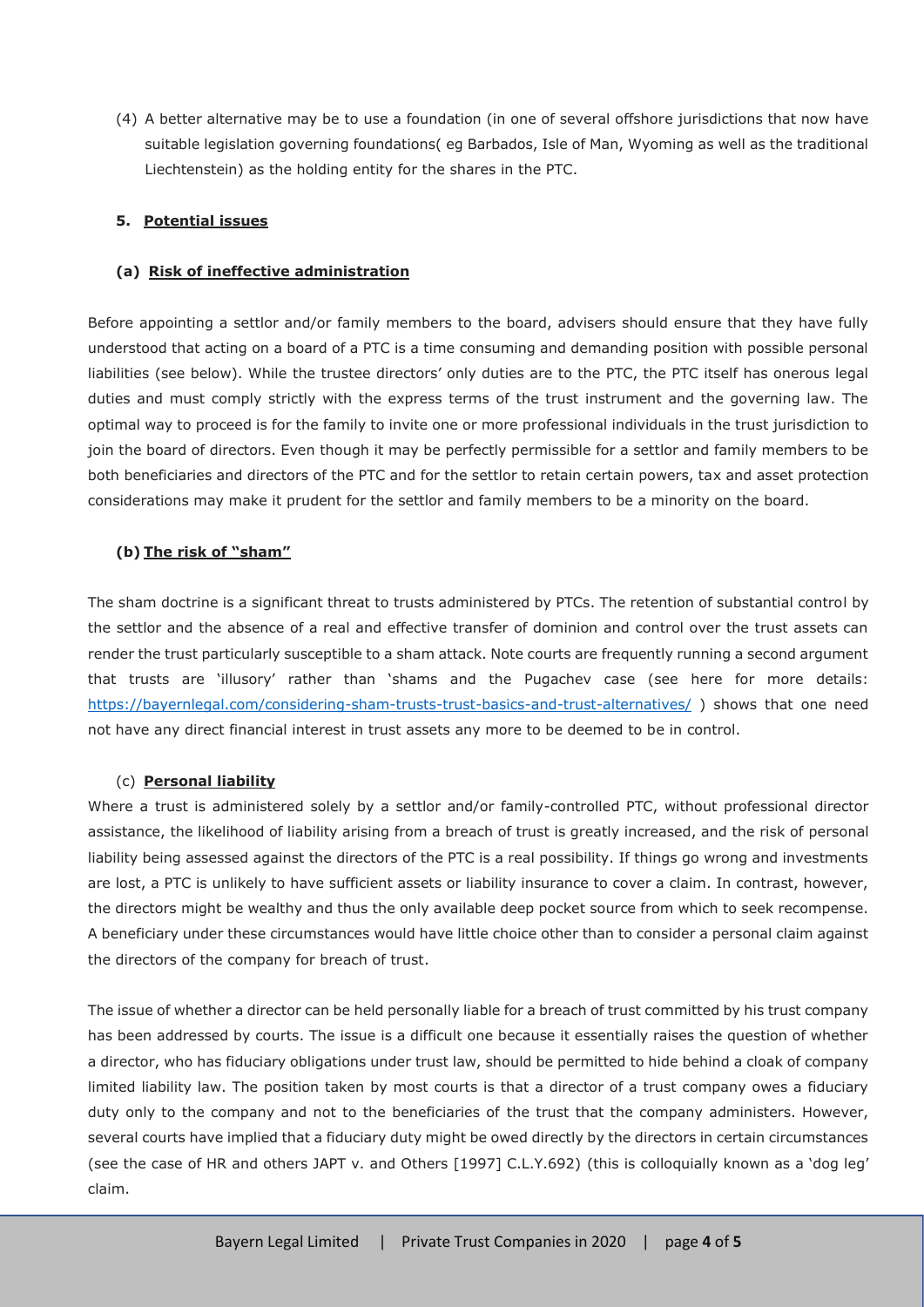(4) A better alternative may be to use a foundation (in one of several offshore jurisdictions that now have suitable legislation governing foundations( eg Barbados, Isle of Man, Wyoming as well as the traditional Liechtenstein) as the holding entity for the shares in the PTC.

## **5. Potential issues**

#### **(a) Risk of ineffective administration**

Before appointing a settlor and/or family members to the board, advisers should ensure that they have fully understood that acting on a board of a PTC is a time consuming and demanding position with possible personal liabilities (see below). While the trustee directors' only duties are to the PTC, the PTC itself has onerous legal duties and must comply strictly with the express terms of the trust instrument and the governing law. The optimal way to proceed is for the family to invite one or more professional individuals in the trust jurisdiction to join the board of directors. Even though it may be perfectly permissible for a settlor and family members to be both beneficiaries and directors of the PTC and for the settlor to retain certain powers, tax and asset protection considerations may make it prudent for the settlor and family members to be a minority on the board.

### **(b) The risk of "sham"**

The sham doctrine is a significant threat to trusts administered by PTCs. The retention of substantial control by the settlor and the absence of a real and effective transfer of dominion and control over the trust assets can render the trust particularly susceptible to a sham attack. Note courts are frequently running a second argument that trusts are 'illusory' rather than 'shams and the Pugachev case (see here for more details: <https://bayernlegal.com/considering-sham-trusts-trust-basics-and-trust-alternatives/> ) shows that one need not have any direct financial interest in trust assets any more to be deemed to be in control.

#### (c) **Personal liability**

Where a trust is administered solely by a settlor and/or family-controlled PTC, without professional director assistance, the likelihood of liability arising from a breach of trust is greatly increased, and the risk of personal liability being assessed against the directors of the PTC is a real possibility. If things go wrong and investments are lost, a PTC is unlikely to have sufficient assets or liability insurance to cover a claim. In contrast, however, the directors might be wealthy and thus the only available deep pocket source from which to seek recompense. A beneficiary under these circumstances would have little choice other than to consider a personal claim against the directors of the company for breach of trust.

The issue of whether a director can be held personally liable for a breach of trust committed by his trust company has been addressed by courts. The issue is a difficult one because it essentially raises the question of whether a director, who has fiduciary obligations under trust law, should be permitted to hide behind a cloak of company limited liability law. The position taken by most courts is that a director of a trust company owes a fiduciary duty only to the company and not to the beneficiaries of the trust that the company administers. However, several courts have implied that a fiduciary duty might be owed directly by the directors in certain circumstances (see the case of HR and others JAPT v. and Others [1997] C.L.Y.692) (this is colloquially known as a 'dog leg' claim.